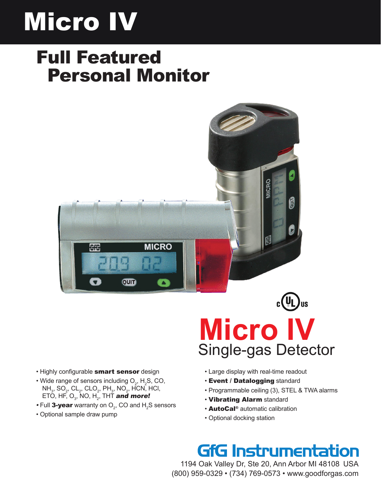# Micro IV

## Full Featured Personal Monitor





- Highly configurable smart sensor design
- Wide range of sensors including  $O_2$ , H<sub>2</sub>S, CO,  $NH_3$ , SO<sub>2</sub>, CL<sub>2</sub>, CLO<sub>2</sub>, PH<sub>3</sub>, NO<sub>2</sub>, HCN, HCl, ETO, HF, O $_{_3}$ , NO, H $_{_2}$ , THT and more!
- $\bullet$  Full **3-year** warranty on  $\mathrm{O}_2^{}$ , CO and  $\mathrm{H}_2^{}$ S sensors
- Optional sample draw pump
- Large display with real-time readout
- Event / Datalogging standard
- Programmable ceiling (3), STEL & TWA alarms
- Vibrating Alarm standard
- AutoCal® automatic calibration
- Optional docking station

### **GfG Instrumentation**

1194 Oak Valley Dr, Ste 20, Ann Arbor MI 48108 USA (800) 959-0329 • (734) 769-0573 • www.goodforgas.com